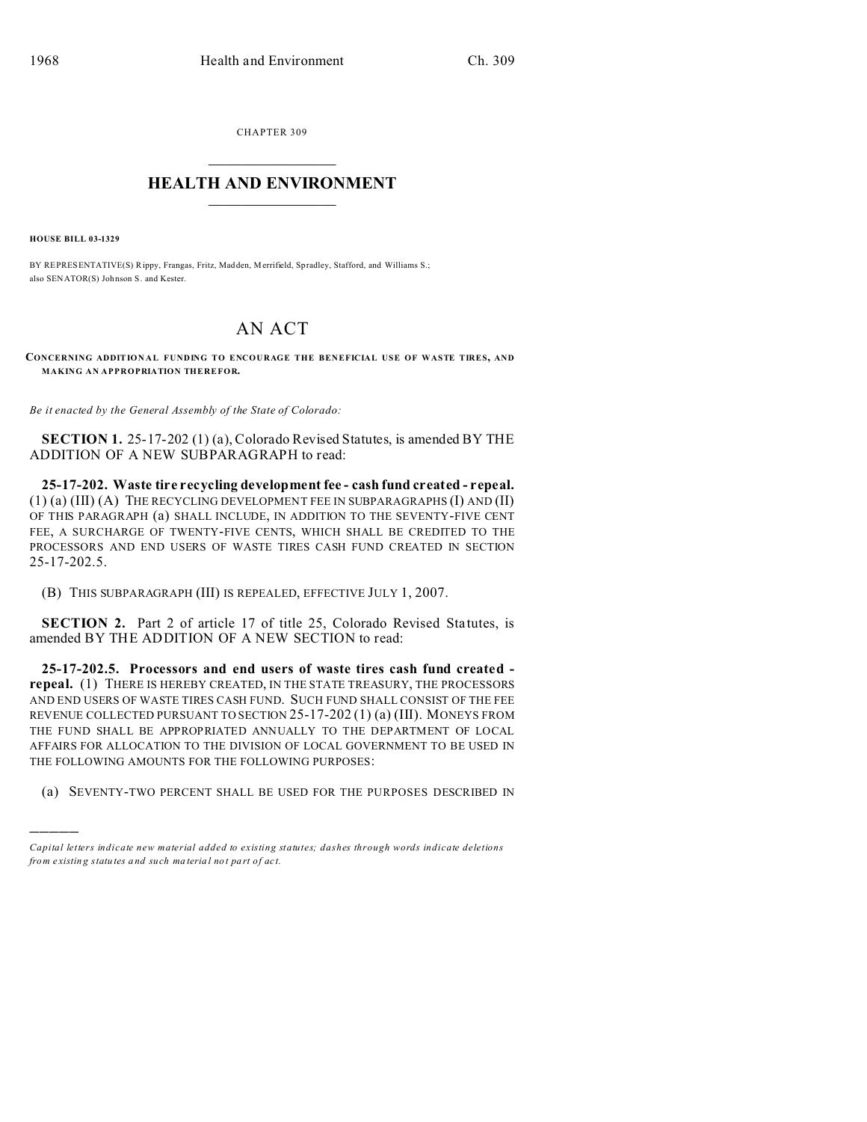CHAPTER 309  $\overline{\phantom{a}}$  , where  $\overline{\phantom{a}}$ 

## **HEALTH AND ENVIRONMENT**  $\_$   $\_$   $\_$   $\_$   $\_$   $\_$   $\_$   $\_$

**HOUSE BILL 03-1329**

)))))

BY REPRESENTATIVE(S) Rippy, Frangas, Fritz, Madden, Merrifield, Spradley, Stafford, and Williams S.; also SENATOR(S) Johnson S. and Kester.

## AN ACT

**CONCERNING ADDIT IONAL FUNDING TO ENCOURAGE THE BENEFICIAL USE OF WASTE TIRES, AND MAKING AN APPROPRIATION THEREFOR.**

*Be it enacted by the General Assembly of the State of Colorado:*

**SECTION 1.** 25-17-202 (1) (a), Colorado Revised Statutes, is amended BY THE ADDITION OF A NEW SUBPARAGRAPH to read:

**25-17-202. Waste tire recycling development fee - cash fund created - repeal.** (1) (a) (III) (A) THE RECYCLING DEVELOPMENT FEE IN SUBPARAGRAPHS (I) AND (II) OF THIS PARAGRAPH (a) SHALL INCLUDE, IN ADDITION TO THE SEVENTY-FIVE CENT FEE, A SURCHARGE OF TWENTY-FIVE CENTS, WHICH SHALL BE CREDITED TO THE PROCESSORS AND END USERS OF WASTE TIRES CASH FUND CREATED IN SECTION 25-17-202.5.

(B) THIS SUBPARAGRAPH (III) IS REPEALED, EFFECTIVE JULY 1, 2007.

**SECTION 2.** Part 2 of article 17 of title 25, Colorado Revised Statutes, is amended BY THE ADDITION OF A NEW SECTION to read:

**25-17-202.5. Processors and end users of waste tires cash fund created repeal.** (1) THERE IS HEREBY CREATED, IN THE STATE TREASURY, THE PROCESSORS AND END USERS OF WASTE TIRES CASH FUND. SUCH FUND SHALL CONSIST OF THE FEE REVENUE COLLECTED PURSUANT TO SECTION 25-17-202 (1) (a) (III). MONEYS FROM THE FUND SHALL BE APPROPRIATED ANNUALLY TO THE DEPARTMENT OF LOCAL AFFAIRS FOR ALLOCATION TO THE DIVISION OF LOCAL GOVERNMENT TO BE USED IN THE FOLLOWING AMOUNTS FOR THE FOLLOWING PURPOSES:

(a) SEVENTY-TWO PERCENT SHALL BE USED FOR THE PURPOSES DESCRIBED IN

*Capital letters indicate new material added to existing statutes; dashes through words indicate deletions from e xistin g statu tes a nd such ma teria l no t pa rt of ac t.*